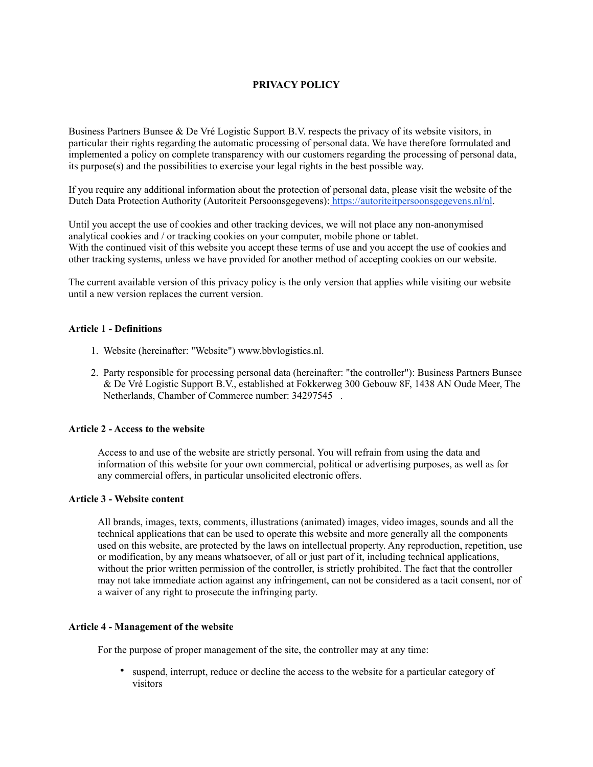# **PRIVACY POLICY**

Business Partners Bunsee & De Vré Logistic Support B.V. respects the privacy of its website visitors, in particular their rights regarding the automatic processing of personal data. We have therefore formulated and implemented a policy on complete transparency with our customers regarding the processing of personal data, its purpose(s) and the possibilities to exercise your legal rights in the best possible way.

If you require any additional information about the protection of personal data, please visit the website of the Dutch Data Protection Authority (Autoriteit Persoonsgegevens): [https://autoriteitpersoonsgegevens.nl/nl.](https://autoriteitpersoonsgegevens.nl/nl)

Until you accept the use of cookies and other tracking devices, we will not place any non-anonymised analytical cookies and / or tracking cookies on your computer, mobile phone or tablet. With the continued visit of this website you accept these terms of use and you accept the use of cookies and other tracking systems, unless we have provided for another method of accepting cookies on our website.

The current available version of this privacy policy is the only version that applies while visiting our website until a new version replaces the current version.

#### **Article 1 - Definitions**

- 1. Website (hereinafter: "Website") www.bbvlogistics.nl.
- 2. Party responsible for processing personal data (hereinafter: "the controller"): Business Partners Bunsee & De Vré Logistic Support B.V., established at Fokkerweg 300 Gebouw 8F, 1438 AN Oude Meer, The Netherlands, Chamber of Commerce number: 34297545 .

#### **Article 2 - Access to the website**

Access to and use of the website are strictly personal. You will refrain from using the data and information of this website for your own commercial, political or advertising purposes, as well as for any commercial offers, in particular unsolicited electronic offers.

#### **Article 3 - Website content**

All brands, images, texts, comments, illustrations (animated) images, video images, sounds and all the technical applications that can be used to operate this website and more generally all the components used on this website, are protected by the laws on intellectual property. Any reproduction, repetition, use or modification, by any means whatsoever, of all or just part of it, including technical applications, without the prior written permission of the controller, is strictly prohibited. The fact that the controller may not take immediate action against any infringement, can not be considered as a tacit consent, nor of a waiver of any right to prosecute the infringing party.

#### **Article 4 - Management of the website**

For the purpose of proper management of the site, the controller may at any time:

suspend, interrupt, reduce or decline the access to the website for a particular category of visitors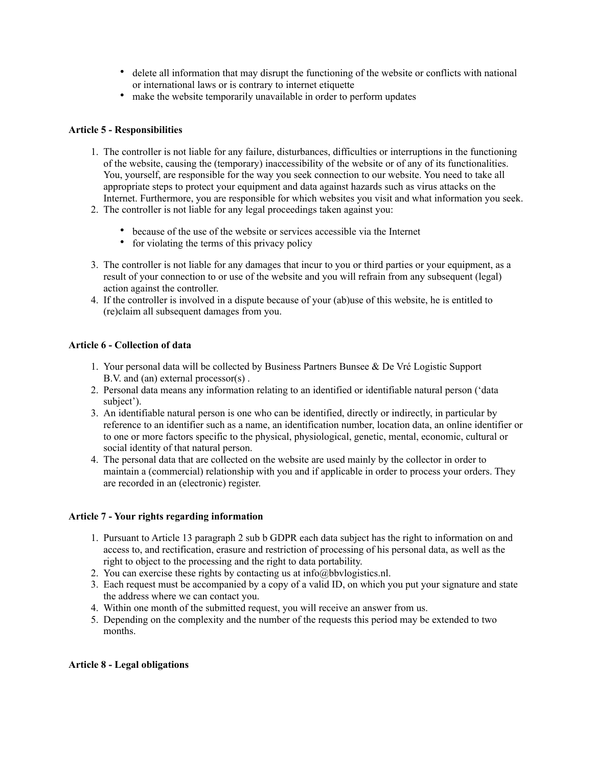- delete all information that may disrupt the functioning of the website or conflicts with national or international laws or is contrary to internet etiquette
- make the website temporarily unavailable in order to perform updates

# **Article 5 - Responsibilities**

- 1. The controller is not liable for any failure, disturbances, difficulties or interruptions in the functioning of the website, causing the (temporary) inaccessibility of the website or of any of its functionalities. You, yourself, are responsible for the way you seek connection to our website. You need to take all appropriate steps to protect your equipment and data against hazards such as virus attacks on the Internet. Furthermore, you are responsible for which websites you visit and what information you seek.
- 2. The controller is not liable for any legal proceedings taken against you:
	- because of the use of the website or services accessible via the Internet
	- for violating the terms of this privacy policy
- 3. The controller is not liable for any damages that incur to you or third parties or your equipment, as a result of your connection to or use of the website and you will refrain from any subsequent (legal) action against the controller.
- 4. If the controller is involved in a dispute because of your (ab)use of this website, he is entitled to (re)claim all subsequent damages from you.

# **Article 6 - Collection of data**

- 1. Your personal data will be collected by Business Partners Bunsee & De Vré Logistic Support B.V. and (an) external processor(s) .
- 2. Personal data means any information relating to an identified or identifiable natural person ('data subject').
- 3. An identifiable natural person is one who can be identified, directly or indirectly, in particular by reference to an identifier such as a name, an identification number, location data, an online identifier or to one or more factors specific to the physical, physiological, genetic, mental, economic, cultural or social identity of that natural person.
- 4. The personal data that are collected on the website are used mainly by the collector in order to maintain a (commercial) relationship with you and if applicable in order to process your orders. They are recorded in an (electronic) register.

# **Article 7 - Your rights regarding information**

- 1. Pursuant to Article 13 paragraph 2 sub b GDPR each data subject has the right to information on and access to, and rectification, erasure and restriction of processing of his personal data, as well as the right to object to the processing and the right to data portability.
- 2. You can exercise these rights by contacting us at info@bbvlogistics.nl.
- 3. Each request must be accompanied by a copy of a valid ID, on which you put your signature and state the address where we can contact you.
- 4. Within one month of the submitted request, you will receive an answer from us.
- 5. Depending on the complexity and the number of the requests this period may be extended to two months.

# **Article 8 - Legal obligations**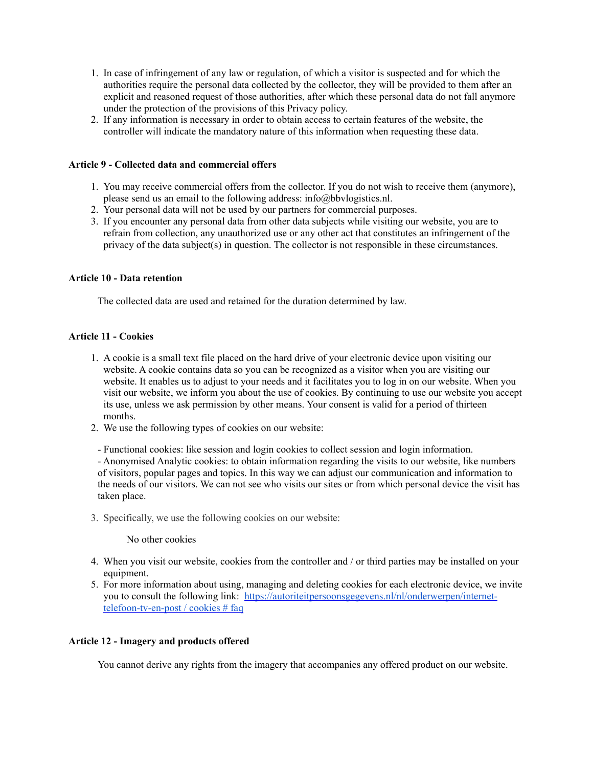- 1. In case of infringement of any law or regulation, of which a visitor is suspected and for which the authorities require the personal data collected by the collector, they will be provided to them after an explicit and reasoned request of those authorities, after which these personal data do not fall anymore under the protection of the provisions of this Privacy policy.
- 2. If any information is necessary in order to obtain access to certain features of the website, the controller will indicate the mandatory nature of this information when requesting these data.

## **Article 9 - Collected data and commercial offers**

- 1. You may receive commercial offers from the collector. If you do not wish to receive them (anymore), please send us an email to the following address: info@bbvlogistics.nl.
- 2. Your personal data will not be used by our partners for commercial purposes.
- 3. If you encounter any personal data from other data subjects while visiting our website, you are to refrain from collection, any unauthorized use or any other act that constitutes an infringement of the privacy of the data subject(s) in question. The collector is not responsible in these circumstances.

#### **Article 10 - Data retention**

The collected data are used and retained for the duration determined by law.

### **Article 11 - Cookies**

- 1. A cookie is a small text file placed on the hard drive of your electronic device upon visiting our website. A cookie contains data so you can be recognized as a visitor when you are visiting our website. It enables us to adjust to your needs and it facilitates you to log in on our website. When you visit our website, we inform you about the use of cookies. By continuing to use our website you accept its use, unless we ask permission by other means. Your consent is valid for a period of thirteen months.
- 2. We use the following types of cookies on our website:
	- Functional cookies: like session and login cookies to collect session and login information.

- Anonymised Analytic cookies: to obtain information regarding the visits to our website, like numbers of visitors, popular pages and topics. In this way we can adjust our communication and information to the needs of our visitors. We can not see who visits our sites or from which personal device the visit has taken place.

3. Specifically, we use the following cookies on our website:

No other cookies

- 4. When you visit our website, cookies from the controller and / or third parties may be installed on your equipment.
- 5. For more information about using, managing and deleting cookies for each electronic device, we invite you to consult the following link: [https://autoriteitpersoonsgegevens.nl/nl/onderwerpen/internet](https://autoriteitpersoonsgegevens.nl/nl/onderwerpen/internet-telefoon-tv-en-post/cookies#faq)[telefoon-tv-en-post / cookies # faq](https://autoriteitpersoonsgegevens.nl/nl/onderwerpen/internet-telefoon-tv-en-post/cookies#faq)

#### **Article 12 - Imagery and products offered**

You cannot derive any rights from the imagery that accompanies any offered product on our website.